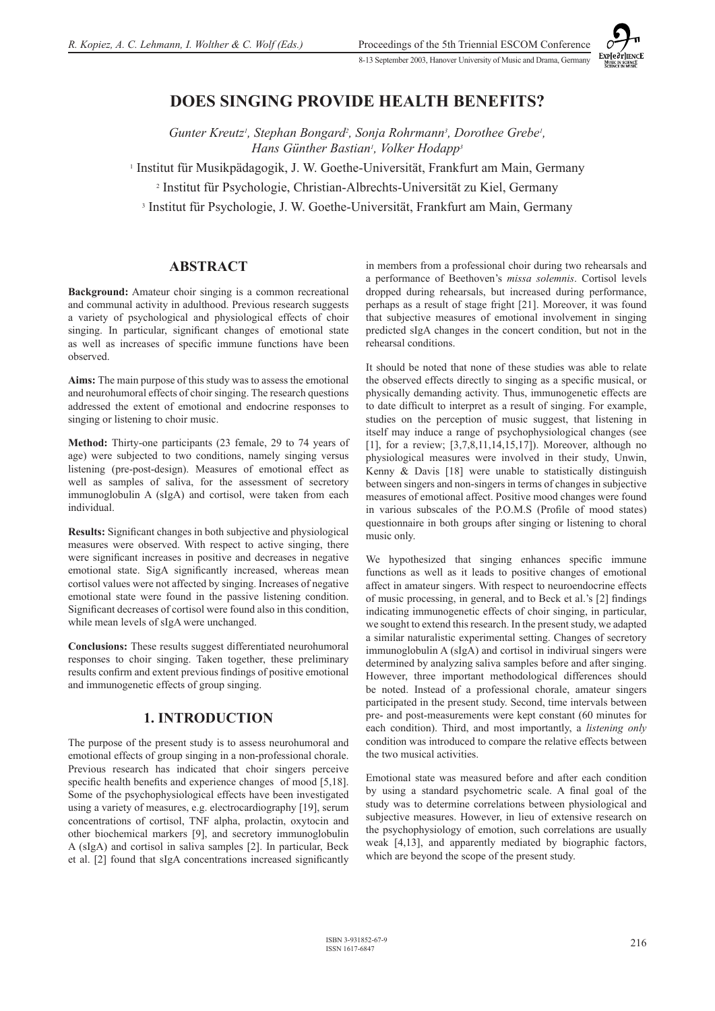

# **DOES SINGING PROVIDE HEALTH BENEFITS?**

Gunter Kreutz<sup>1</sup>, Stephan Bongard<sup>2</sup>, Sonja Rohrmann<sup>3</sup>, Dorothee Grebe<sup>1</sup>, *Hans Günther Bastian1 , Volker Hodapp3*

1 Institut für Musikpädagogik, J. W. Goethe-Universität, Frankfurt am Main, Germany

2 Institut für Psychologie, Christian-Albrechts-Universität zu Kiel, Germany

3 Institut für Psychologie, J. W. Goethe-Universität, Frankfurt am Main, Germany

#### **ABSTRACT**

**Background:** Amateur choir singing is a common recreational and communal activity in adulthood. Previous research suggests a variety of psychological and physiological effects of choir singing. In particular, significant changes of emotional state as well as increases of specific immune functions have been observed.

**Aims:** The main purpose of this study was to assess the emotional and neurohumoral effects of choir singing. The research questions addressed the extent of emotional and endocrine responses to singing or listening to choir music.

**Method:** Thirty-one participants (23 female, 29 to 74 years of age) were subjected to two conditions, namely singing versus listening (pre-post-design). Measures of emotional effect as well as samples of saliva, for the assessment of secretory immunoglobulin A (sIgA) and cortisol, were taken from each individual.

**Results:** Significant changes in both subjective and physiological measures were observed. With respect to active singing, there were significant increases in positive and decreases in negative emotional state. SigA significantly increased, whereas mean cortisol values were not affected by singing. Increases of negative emotional state were found in the passive listening condition. Significant decreases of cortisol were found also in this condition, while mean levels of sIgA were unchanged.

**Conclusions:** These results suggest differentiated neurohumoral responses to choir singing. Taken together, these preliminary results confirm and extent previous findings of positive emotional and immunogenetic effects of group singing.

### **1. INTRODUCTION**

The purpose of the present study is to assess neurohumoral and emotional effects of group singing in a non-professional chorale. Previous research has indicated that choir singers perceive specific health benefits and experience changes of mood [5,18]. Some of the psychophysiological effects have been investigated using a variety of measures, e.g. electrocardiography [19], serum concentrations of cortisol, TNF alpha, prolactin, oxytocin and other biochemical markers [9], and secretory immunoglobulin A (sIgA) and cortisol in saliva samples [2]. In particular, Beck et al. [2] found that sIgA concentrations increased significantly

in members from a professional choir during two rehearsals and a performance of Beethoven's *missa solemnis*. Cortisol levels dropped during rehearsals, but increased during performance, perhaps as a result of stage fright [21]. Moreover, it was found that subjective measures of emotional involvement in singing predicted sIgA changes in the concert condition, but not in the rehearsal conditions.

It should be noted that none of these studies was able to relate the observed effects directly to singing as a specific musical, or physically demanding activity. Thus, immunogenetic effects are to date difficult to interpret as a result of singing. For example, studies on the perception of music suggest, that listening in itself may induce a range of psychophysiological changes (see [1], for a review; [3,7,8,11,14,15,17]). Moreover, although no physiological measures were involved in their study, Unwin, Kenny & Davis [18] were unable to statistically distinguish between singers and non-singers in terms of changes in subjective measures of emotional affect. Positive mood changes were found in various subscales of the P.O.M.S (Profile of mood states) questionnaire in both groups after singing or listening to choral music only.

We hypothesized that singing enhances specific immune functions as well as it leads to positive changes of emotional affect in amateur singers. With respect to neuroendocrine effects of music processing, in general, and to Beck et al.'s [2] findings indicating immunogenetic effects of choir singing, in particular, we sought to extend this research. In the present study, we adapted a similar naturalistic experimental setting. Changes of secretory immunoglobulin A (sIgA) and cortisol in indivirual singers were determined by analyzing saliva samples before and after singing. However, three important methodological differences should be noted. Instead of a professional chorale, amateur singers participated in the present study. Second, time intervals between pre- and post-measurements were kept constant (60 minutes for each condition). Third, and most importantly, a *listening only*  condition was introduced to compare the relative effects between the two musical activities.

Emotional state was measured before and after each condition by using a standard psychometric scale. A final goal of the study was to determine correlations between physiological and subjective measures. However, in lieu of extensive research on the psychophysiology of emotion, such correlations are usually weak [4,13], and apparently mediated by biographic factors, which are beyond the scope of the present study.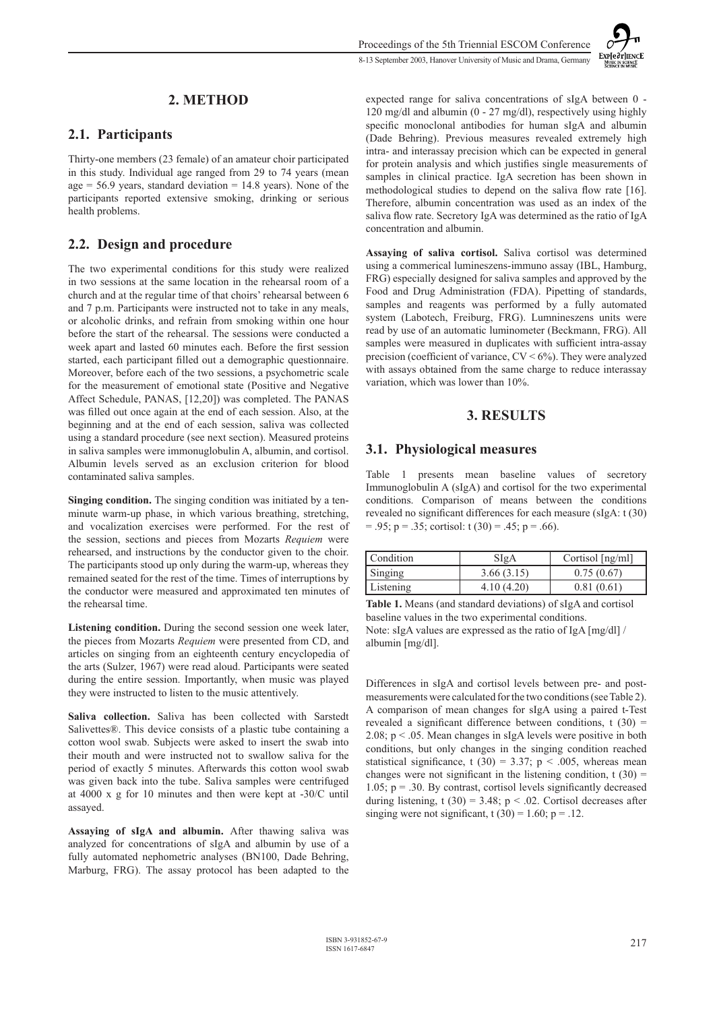## **2. METHOD**

#### **2.1. Participants**

Thirty-one members (23 female) of an amateur choir participated in this study. Individual age ranged from 29 to 74 years (mean age  $= 56.9$  years, standard deviation  $= 14.8$  years). None of the participants reported extensive smoking, drinking or serious health problems.

### **2.2. Design and procedure**

The two experimental conditions for this study were realized in two sessions at the same location in the rehearsal room of a church and at the regular time of that choirs' rehearsal between 6 and 7 p.m. Participants were instructed not to take in any meals, or alcoholic drinks, and refrain from smoking within one hour before the start of the rehearsal. The sessions were conducted a week apart and lasted 60 minutes each. Before the first session started, each participant filled out a demographic questionnaire. Moreover, before each of the two sessions, a psychometric scale for the measurement of emotional state (Positive and Negative Affect Schedule, PANAS, [12,20]) was completed. The PANAS was filled out once again at the end of each session. Also, at the beginning and at the end of each session, saliva was collected using a standard procedure (see next section). Measured proteins in saliva samples were immonuglobulin A, albumin, and cortisol. Albumin levels served as an exclusion criterion for blood contaminated saliva samples.

**Singing condition.** The singing condition was initiated by a tenminute warm-up phase, in which various breathing, stretching, and vocalization exercises were performed. For the rest of the session, sections and pieces from Mozarts *Requiem* were rehearsed, and instructions by the conductor given to the choir. The participants stood up only during the warm-up, whereas they remained seated for the rest of the time. Times of interruptions by the conductor were measured and approximated ten minutes of the rehearsal time.

**Listening condition.** During the second session one week later, the pieces from Mozarts *Requiem* were presented from CD, and articles on singing from an eighteenth century encyclopedia of the arts (Sulzer, 1967) were read aloud. Participants were seated during the entire session. Importantly, when music was played they were instructed to listen to the music attentively.

**Saliva collection.** Saliva has been collected with Sarstedt Salivettes®. This device consists of a plastic tube containing a cotton wool swab. Subjects were asked to insert the swab into their mouth and were instructed not to swallow saliva for the period of exactly 5 minutes. Afterwards this cotton wool swab was given back into the tube. Saliva samples were centrifuged at 4000 x g for 10 minutes and then were kept at -30/C until assayed.

**Assaying of sIgA and albumin.** After thawing saliva was analyzed for concentrations of sIgA and albumin by use of a fully automated nephometric analyses (BN100, Dade Behring, Marburg, FRG). The assay protocol has been adapted to the **Exploration** 

expected range for saliva concentrations of sIgA between 0 - 120 mg/dl and albumin (0 - 27 mg/dl), respectively using highly specific monoclonal antibodies for human sIgA and albumin (Dade Behring). Previous measures revealed extremely high intra- and interassay precision which can be expected in general for protein analysis and which justifies single measurements of samples in clinical practice. IgA secretion has been shown in methodological studies to depend on the saliva flow rate [16]. Therefore, albumin concentration was used as an index of the saliva flow rate. Secretory IgA was determined as the ratio of IgA concentration and albumin.

**Assaying of saliva cortisol.** Saliva cortisol was determined using a commerical lumineszens-immuno assay (IBL, Hamburg, FRG) especially designed for saliva samples and approved by the Food and Drug Administration (FDA). Pipetting of standards, samples and reagents was performed by a fully automated system (Labotech, Freiburg, FRG). Lumnineszens units were read by use of an automatic luminometer (Beckmann, FRG). All samples were measured in duplicates with sufficient intra-assay precision (coefficient of variance,  $CV < 6\%$ ). They were analyzed with assays obtained from the same charge to reduce interassay variation, which was lower than 10%.

### **3. RESULTS**

### **3.1. Physiological measures**

Table 1 presents mean baseline values of secretory Immunoglobulin A (sIgA) and cortisol for the two experimental conditions. Comparison of means between the conditions revealed no significant differences for each measure (sIgA: t (30)  $= .95$ ; p = .35; cortisol: t (30) = .45; p = .66).

| Condition | SigA        | Cortisol [ng/ml] |
|-----------|-------------|------------------|
| Singing   | 3.66(3.15)  | 0.75(0.67)       |
| Listening | 4.10 (4.20) | 0.81(0.61)       |

**Table 1.** Means (and standard deviations) of sIgA and cortisol baseline values in the two experimental conditions. Note: sIgA values are expressed as the ratio of IgA [mg/dl] / albumin [mg/dl].

Differences in sIgA and cortisol levels between pre- and postmeasurements were calculated for the two conditions (see Table 2). A comparison of mean changes for sIgA using a paired t-Test revealed a significant difference between conditions,  $t(30)$  = 2.08;  $p < 0.05$ . Mean changes in sIgA levels were positive in both conditions, but only changes in the singing condition reached statistical significance, t (30) = 3.37; p < .005, whereas mean changes were not significant in the listening condition,  $t(30) =$ 1.05;  $p = .30$ . By contrast, cortisol levels significantly decreased during listening, t (30) = 3.48;  $p < .02$ . Cortisol decreases after singing were not significant,  $t(30) = 1.60$ ;  $p = .12$ .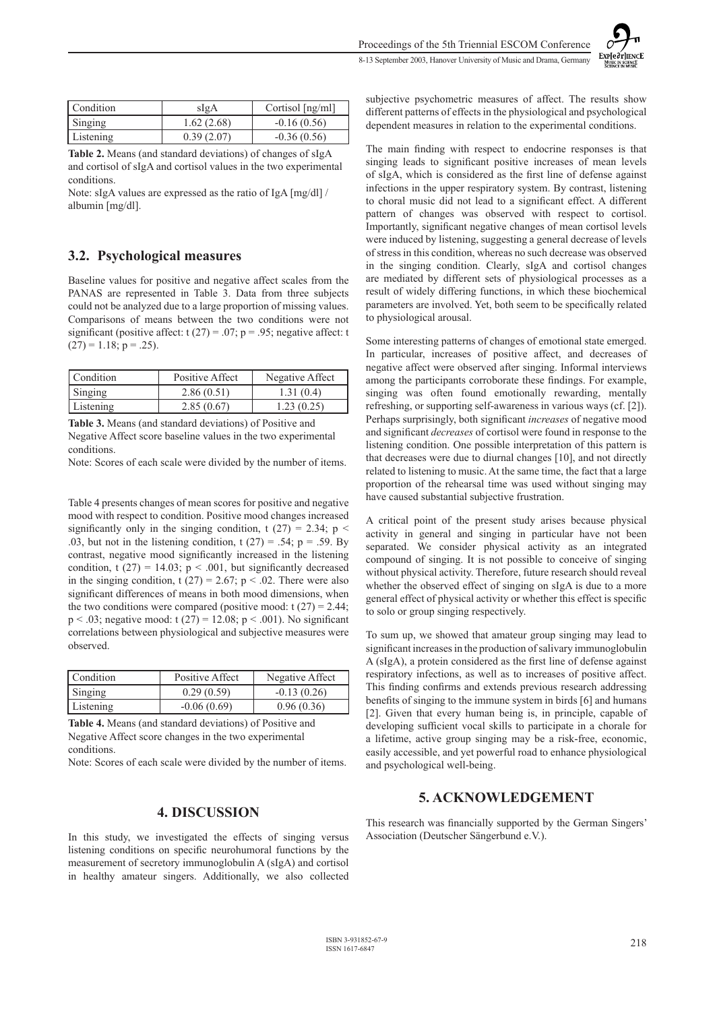| Exp[e∂r]IENCE                               |
|---------------------------------------------|
| <b>MUSIC IN SCIENCE</b><br>SCIENCE IN MUSIC |

| Condition | slgA       | Cortisol $[ng/ml]$ |
|-----------|------------|--------------------|
| Singing   | 1.62(2.68) | $-0.16(0.56)$      |
| Listening | 0.39(2.07) | $-0.36(0.56)$      |

**Table 2.** Means (and standard deviations) of changes of sIgA and cortisol of sIgA and cortisol values in the two experimental conditions.

Note: sIgA values are expressed as the ratio of IgA [mg/dl] / albumin [mg/dl].

## **3.2. Psychological measures**

Baseline values for positive and negative affect scales from the PANAS are represented in Table 3. Data from three subjects could not be analyzed due to a large proportion of missing values. Comparisons of means between the two conditions were not significant (positive affect:  $t(27) = .07$ ;  $p = .95$ ; negative affect: t  $(27) = 1.18$ ; p = .25).

| Condition | Positive Affect | Negative Affect |
|-----------|-----------------|-----------------|
| Singing   | 2.86(0.51)      | 1.31(0.4)       |
| Listening | 2.85(0.67)      | 1.23(0.25)      |

**Table 3.** Means (and standard deviations) of Positive and Negative Affect score baseline values in the two experimental conditions.

Note: Scores of each scale were divided by the number of items.

Table 4 presents changes of mean scores for positive and negative mood with respect to condition. Positive mood changes increased significantly only in the singing condition, t  $(27) = 2.34$ ; p < .03, but not in the listening condition,  $t(27) = .54$ ;  $p = .59$ . By contrast, negative mood significantly increased in the listening condition, t (27) = 14.03;  $p < .001$ , but significantly decreased in the singing condition, t (27) = 2.67; p < .02. There were also significant differences of means in both mood dimensions, when the two conditions were compared (positive mood:  $t(27) = 2.44$ ;  $p < .03$ ; negative mood: t (27) = 12.08;  $p < .001$ ). No significant correlations between physiological and subjective measures were observed.

| Condition | Positive Affect | Negative Affect |
|-----------|-----------------|-----------------|
| Singing   | 0.29(0.59)      | $-0.13(0.26)$   |
| Listening | $-0.06(0.69)$   | 0.96(0.36)      |

**Table 4.** Means (and standard deviations) of Positive and Negative Affect score changes in the two experimental conditions.

Note: Scores of each scale were divided by the number of items.

### **4. DISCUSSION**

In this study, we investigated the effects of singing versus listening conditions on specific neurohumoral functions by the measurement of secretory immunoglobulin A (sIgA) and cortisol in healthy amateur singers. Additionally, we also collected

subjective psychometric measures of affect. The results show different patterns of effects in the physiological and psychological dependent measures in relation to the experimental conditions.

The main finding with respect to endocrine responses is that singing leads to significant positive increases of mean levels of sIgA, which is considered as the first line of defense against infections in the upper respiratory system. By contrast, listening to choral music did not lead to a significant effect. A different pattern of changes was observed with respect to cortisol. Importantly, significant negative changes of mean cortisol levels were induced by listening, suggesting a general decrease of levels of stress in this condition, whereas no such decrease was observed in the singing condition. Clearly, sIgA and cortisol changes are mediated by different sets of physiological processes as a result of widely differing functions, in which these biochemical parameters are involved. Yet, both seem to be specifically related to physiological arousal.

Some interesting patterns of changes of emotional state emerged. In particular, increases of positive affect, and decreases of negative affect were observed after singing. Informal interviews among the participants corroborate these findings. For example, singing was often found emotionally rewarding, mentally refreshing, or supporting self-awareness in various ways (cf. [2]). Perhaps surprisingly, both significant *increases* of negative mood and significant *decreases* of cortisol were found in response to the listening condition. One possible interpretation of this pattern is that decreases were due to diurnal changes [10], and not directly related to listening to music. At the same time, the fact that a large proportion of the rehearsal time was used without singing may have caused substantial subjective frustration.

A critical point of the present study arises because physical activity in general and singing in particular have not been separated. We consider physical activity as an integrated compound of singing. It is not possible to conceive of singing without physical activity. Therefore, future research should reveal whether the observed effect of singing on sIgA is due to a more general effect of physical activity or whether this effect is specific to solo or group singing respectively.

To sum up, we showed that amateur group singing may lead to significant increases in the production of salivary immunoglobulin A (sIgA), a protein considered as the first line of defense against respiratory infections, as well as to increases of positive affect. This finding confirms and extends previous research addressing benefits of singing to the immune system in birds [6] and humans [2]. Given that every human being is, in principle, capable of developing sufficient vocal skills to participate in a chorale for a lifetime, active group singing may be a risk-free, economic, easily accessible, and yet powerful road to enhance physiological and psychological well-being.

# **5. ACKNOWLEDGEMENT**

This research was financially supported by the German Singers' Association (Deutscher Sängerbund e.V.).